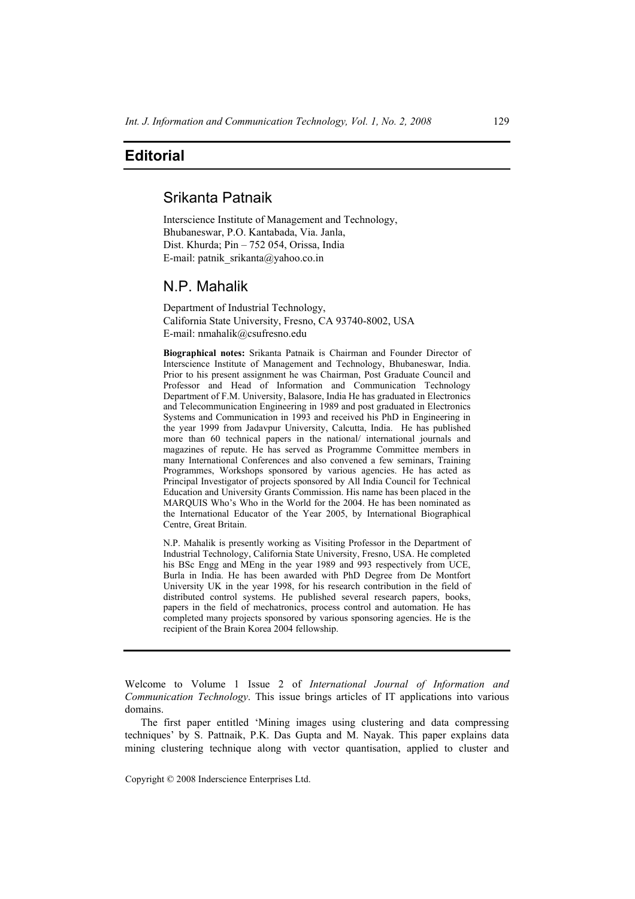## **Editorial**

## Srikanta Patnaik

Interscience Institute of Management and Technology, Bhubaneswar, P.O. Kantabada, Via. Janla, Dist. Khurda; Pin – 752 054, Orissa, India E-mail: patnik\_srikanta@yahoo.co.in

## N.P. Mahalik

Department of Industrial Technology, California State University, Fresno, CA 93740-8002, USA E-mail: nmahalik@csufresno.edu

**Biographical notes:** Srikanta Patnaik is Chairman and Founder Director of Interscience Institute of Management and Technology, Bhubaneswar, India. Prior to his present assignment he was Chairman, Post Graduate Council and Professor and Head of Information and Communication Technology Department of F.M. University, Balasore, India He has graduated in Electronics and Telecommunication Engineering in 1989 and post graduated in Electronics Systems and Communication in 1993 and received his PhD in Engineering in the year 1999 from Jadavpur University, Calcutta, India. He has published more than 60 technical papers in the national/ international journals and magazines of repute. He has served as Programme Committee members in many International Conferences and also convened a few seminars, Training Programmes, Workshops sponsored by various agencies. He has acted as Principal Investigator of projects sponsored by All India Council for Technical Education and University Grants Commission. His name has been placed in the MARQUIS Who's Who in the World for the 2004. He has been nominated as the International Educator of the Year 2005, by International Biographical Centre, Great Britain.

N.P. Mahalik is presently working as Visiting Professor in the Department of Industrial Technology, California State University, Fresno, USA. He completed his BSc Engg and MEng in the year 1989 and 993 respectively from UCE, Burla in India. He has been awarded with PhD Degree from De Montfort University UK in the year 1998, for his research contribution in the field of distributed control systems. He published several research papers, books, papers in the field of mechatronics, process control and automation. He has completed many projects sponsored by various sponsoring agencies. He is the recipient of the Brain Korea 2004 fellowship.

Copyright © 2008 Inderscience Enterprises Ltd.

Welcome to Volume 1 Issue 2 of *International Journal of Information and Communication Technology*. This issue brings articles of IT applications into various domains.

The first paper entitled 'Mining images using clustering and data compressing techniques' by S. Pattnaik, P.K. Das Gupta and M. Nayak. This paper explains data mining clustering technique along with vector quantisation, applied to cluster and